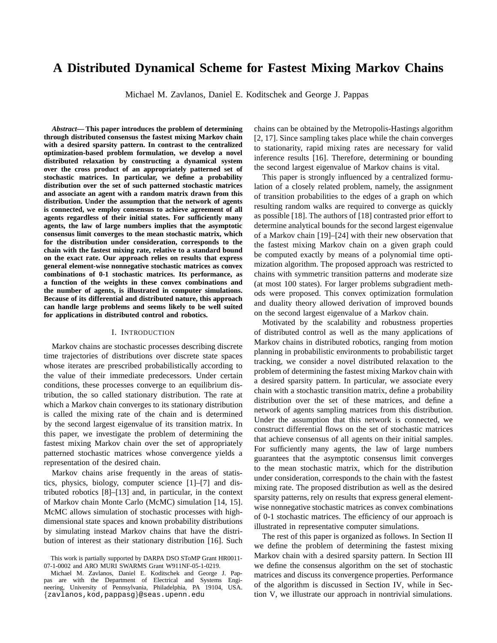# **A Distributed Dynamical Scheme for Fastest Mixing Markov Chains**

Michael M. Zavlanos, Daniel E. Koditschek and George J. Pappas

*Abstract***— This paper introduces the problem of determining through distributed consensus the fastest mixing Markov chain with a desired sparsity pattern. In contrast to the centralized optimization-based problem formulation, we develop a novel distributed relaxation by constructing a dynamical system over the cross product of an appropriately patterned set of stochastic matrices. In particular, we define a probability distribution over the set of such patterned stochastic matrices and associate an agent with a random matrix drawn from this distribution. Under the assumption that the network of agents is connected, we employ consensus to achieve agreement of all agents regardless of their initial states. For sufficiently many agents, the law of large numbers implies that the asymptotic consensus limit converges to the mean stochastic matrix, which for the distribution under consideration, corresponds to the chain with the fastest mixing rate, relative to a standard bound on the exact rate. Our approach relies on results that express general element-wise nonnegative stochastic matrices as convex combinations of 0-1 stochastic matrices. Its performance, as a function of the weights in these convex combinations and the number of agents, is illustrated in computer simulations. Because of its differential and distributed nature, this approach can handle large problems and seems likely to be well suited for applications in distributed control and robotics.**

# I. INTRODUCTION

Markov chains are stochastic processes describing discrete time trajectories of distributions over discrete state spaces whose iterates are prescribed probabilistically according to the value of their immediate predecessors. Under certain conditions, these processes converge to an equilibrium distribution, the so called stationary distribution. The rate at which a Markov chain converges to its stationary distribution is called the mixing rate of the chain and is determined by the second largest eigenvalue of its transition matrix. In this paper, we investigate the problem of determining the fastest mixing Markov chain over the set of appropriately patterned stochastic matrices whose convergence yields a representation of the desired chain.

Markov chains arise frequently in the areas of statistics, physics, biology, computer science [1]–[7] and distributed robotics [8]–[13] and, in particular, in the context of Markov chain Monte Carlo (McMC) simulation [14, 15]. McMC allows simulation of stochastic processes with highdimensional state spaces and known probability distributions by simulating instead Markov chains that have the distribution of interest as their stationary distribution [16]. Such

chains can be obtained by the Metropolis-Hastings algorithm [2, 17]. Since sampling takes place while the chain converges to stationarity, rapid mixing rates are necessary for valid inference results [16]. Therefore, determining or bounding the second largest eigenvalue of Markov chains is vital.

This paper is strongly influenced by a centralized formulation of a closely related problem, namely, the assignment of transition probabilities to the edges of a graph on which resulting random walks are required to converge as quickly as possible [18]. The authors of [18] contrasted prior effort to determine analytical bounds for the second largest eigenvalue of a Markov chain [19]–[24] with their new observation that the fastest mixing Markov chain on a given graph could be computed exactly by means of a polynomial time optimization algorithm. The proposed approach was restricted to chains with symmetric transition patterns and moderate size (at most 100 states). For larger problems subgradient methods were proposed. This convex optimization formulation and duality theory allowed derivation of improved bounds on the second largest eigenvalue of a Markov chain.

Motivated by the scalability and robustness properties of distributed control as well as the many applications of Markov chains in distributed robotics, ranging from motion planning in probabilistic environments to probabilistic target tracking, we consider a novel distributed relaxation to the problem of determining the fastest mixing Markov chain with a desired sparsity pattern. In particular, we associate every chain with a stochastic transition matrix, define a probability distribution over the set of these matrices, and define a network of agents sampling matrices from this distribution. Under the assumption that this network is connected, we construct differential flows on the set of stochastic matrices that achieve consensus of all agents on their initial samples. For sufficiently many agents, the law of large numbers guarantees that the asymptotic consensus limit converges to the mean stochastic matrix, which for the distribution under consideration, corresponds to the chain with the fastest mixing rate. The proposed distribution as well as the desired sparsity patterns, rely on results that express general elementwise nonnegative stochastic matrices as convex combinations of 0-1 stochastic matrices. The efficiency of our approach is illustrated in representative computer simulations.

The rest of this paper is organized as follows. In Section II we define the problem of determining the fastest mixing Markov chain with a desired sparsity pattern. In Section III we define the consensus algorithm on the set of stochastic matrices and discuss its convergence properties. Performance of the algorithm is discussed in Section IV, while in Section V, we illustrate our approach in nontrivial simulations.

This work is partially supported by DARPA DSO SToMP Grant HR0011- 07-1-0002 and ARO MURI SWARMS Grant W911NF-05-1-0219.

Michael M. Zavlanos, Daniel E. Koditschek and George J. Pappas are with the Department of Electrical and Systems Engineering, University of Pennsylvania, Philadelphia, PA 19104, USA. {zavlanos,kod,pappasg}@seas.upenn.edu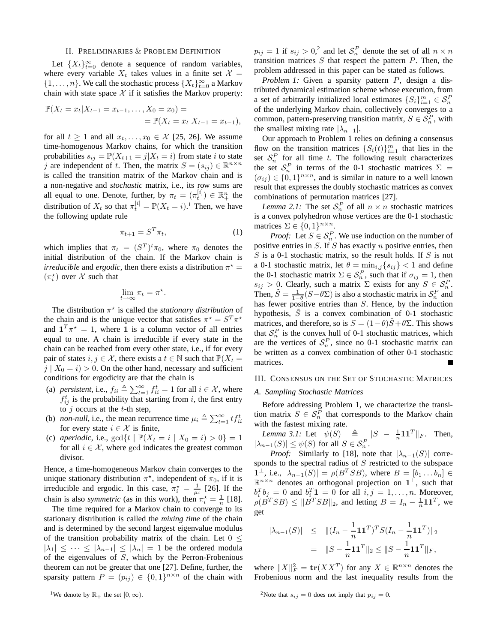#### II. PRELIMINARIES & PROBLEM DEFINITION

Let  ${X_t}_{t=0}^\infty$  denote a sequence of random variables, where every variable  $X_t$  takes values in a finite set  $X =$  $\{1, \ldots, n\}$ . We call the stochastic process  $\{X_t\}_{t=0}^{\infty}$  a Markov chain with state space  $X$  if it satisfies the Markov property:

$$
\mathbb{P}(X_t = x_t | X_{t-1} = x_{t-1}, \dots, X_0 = x_0) =
$$
  
=  $\mathbb{P}(X_t = x_t | X_{t-1} = x_{t-1}),$ 

for all  $t \ge 1$  and all  $x_t, \ldots, x_0 \in \mathcal{X}$  [25, 26]. We assume time-homogenous Markov chains, for which the transition probabilities  $s_{ij} = \mathbb{P}(X_{t+1} = j | X_t = i)$  from state i to state j are independent of t. Then, the matrix  $S = (s_{ij}) \in \mathbb{R}^{n \times n}$ is called the transition matrix of the Markov chain and is a non-negative and *stochastic* matrix, i.e., its row sums are all equal to one. Denote, further, by  $\pi_t = (\pi_t^{[i]}) \in \mathbb{R}^n_+$  the distribution of  $X_t$  so that  $\pi_t^{[i]} = \mathbb{P}(X_t = i)$ .<sup>1</sup> Then, we have the following update rule

$$
\pi_{t+1} = S^T \pi_t,\tag{1}
$$

which implies that  $\pi_t = (S^T)^t \pi_0$ , where  $\pi_0$  denotes the initial distribution of the chain. If the Markov chain is *irreducible* and *ergodic*, then there exists a distribution  $\pi^*$  =  $(\pi_i^{\star})$  over  $\mathcal X$  such that

$$
\lim_{t\to\infty}\pi_t=\pi^\star
$$

.

The distribution  $\pi^*$  is called the *stationary distribution* of the chain and is the unique vector that satisfies  $\pi^* = S^T \pi^*$ and  $\mathbf{1}^T \pi^* = 1$ , where **1** is a column vector of all entries equal to one. A chain is irreducible if every state in the chain can be reached from every other state, i.e., if for every pair of states  $i, j \in \mathcal{X}$ , there exists a  $t \in \mathbb{N}$  such that  $\mathbb{P}(X_t =$  $j | X_0 = i$  > 0. On the other hand, necessary and sufficient conditions for ergodicity are that the chain is

- (a) *persistent*, i.e.,  $f_{ii} \triangleq \sum_{t=1}^{\infty} f_{ii}^t = 1$  for all  $i \in \mathcal{X}$ , where  $f_{ij}^t$  is the probability that starting from i, the first entry to  $j$  occurs at the  $t$ -th step,
- (b) *non-null*, i.e., the mean recurrence time  $\mu_i \triangleq \sum_{t=1}^{\infty} t f_{ii}^t$ for every state  $i \in \mathcal{X}$  is finite,
- (c) *aperiodic*, i.e.,  $gcd\{t | \mathbb{P}(X_t = i | X_0 = i) > 0\} = 1$ for all  $i \in \mathcal{X}$ , where gcd indicates the greatest common divisor.

Hence, a time-homogeneous Markov chain converges to the unique stationary distribution  $\pi^*$ , independent of  $\pi_0$ , if it is irreducible and ergodic. In this case,  $\pi_i^* = \frac{1}{\mu_i}$  [26]. If the chain is also *symmetric* (as in this work), then  $\pi_i^* = \frac{1}{n}$  [18].

The time required for a Markov chain to converge to its stationary distribution is called the *mixing time* of the chain and is determined by the second largest eigenvalue modulus of the transition probability matrix of the chain. Let  $0 \leq$  $|\lambda_1| \leq \cdots \leq |\lambda_{n-1}| \leq |\lambda_n| = 1$  be the ordered modula of the eigenvalues of  $S$ , which by the Perron-Frobenious theorem can not be greater that one [27]. Define, further, the sparsity pattern  $P = (p_{ij}) \in \{0,1\}^{n \times n}$  of the chain with

<sup>1</sup>We denote by  $\mathbb{R}_+$  the set  $[0, \infty)$ .

 $p_{ij} = 1$  if  $s_{ij} > 0$ ,<sup>2</sup> and let  $S_n^P$  denote the set of all  $n \times n$ transition matrices  $S$  that respect the pattern  $P$ . Then, the problem addressed in this paper can be stated as follows.

*Problem 1:* Given a sparsity pattern P, design a distributed dynamical estimation scheme whose execution, from a set of arbitrarily initialized local estimates  $\{S_i\}_{i=1}^m \in \mathcal{S}_n^F$ of the underlying Markov chain, collectively converges to a common, pattern-preserving transition matrix,  $S \in S_n^P$ , with the smallest mixing rate  $|\lambda_{n-1}|$ .

Our approach to Problem 1 relies on defining a consensus flow on the transition matrices  $\{S_i(t)\}_{i=1}^m$  that lies in the set  $S_n^P$  for all time t. The following result characterizes the set  $S_n^P$  in terms of the 0-1 stochastic matrices  $\Sigma =$  $(\sigma_{ij}) \in \{0,1\}^{n \times n}$ , and is similar in nature to a well known result that expresses the doubly stochastic matrices as convex combinations of permutation matrices [27].

*Lemma 2.1:* The set  $S_n^P$  of all  $n \times n$  stochastic matrices is a convex polyhedron whose vertices are the 0-1 stochastic matrices  $\Sigma \in \{0,1\}^{n \times n}$ .

*Proof:* Let  $S \in S_n^P$ . We use induction on the number of positive entries in  $S$ . If  $S$  has exactly  $n$  positive entries, then  $S$  is a 0-1 stochastic matrix, so the result holds. If  $S$  is not a 0-1 stochastic matrix, let  $\theta = \min_{i,j} \{s_{ij}\} < 1$  and define the 0-1 stochastic matrix  $\Sigma \in S_n^P$ , such that if  $\sigma_{ij} = 1$ , then  $s_{ij} > 0$ . Clearly, such a matrix  $\Sigma$  exists for any  $S \in S_n^P$ . Then,  $\tilde{S} = \frac{1}{1-\theta}(S-\theta\Sigma)$  is also a stochastic matrix in  $\mathcal{S}_n^P$  and has fewer positive entries than S. Hence, by the induction hypothesis,  $\tilde{S}$  is a convex combination of 0-1 stochastic matrices, and therefore, so is  $S = (1 - \theta)\hat{S} + \theta\Sigma$ . This shows that  $S_n^P$  is the convex hull of 0-1 stochastic matrices, which are the vertices of  $S_n^P$ , since no 0-1 stochastic matrix can be written as a convex combination of other 0-1 stochastic matrices.

## III. CONSENSUS ON THE SET OF STOCHASTIC MATRICES

# *A. Sampling Stochastic Matrices*

Before addressing Problem 1, we characterize the transition matrix  $S \in \mathcal{S}_n^P$  that corresponds to the Markov chain with the fastest mixing rate.

*Lemma 3.1:* Let  $\psi(S) \triangleq \|S - \frac{1}{n} \mathbf{1} \mathbf{1}^T\|_F$ . Then,  $|\lambda_{n-1}(S)| \leq \psi(S)$  for all  $S \in \mathcal{S}_n^P$ .

*Proof:* Similarly to [18], note that  $|\lambda_{n-1}(S)|$  corresponds to the spectral radius of  $S$  restricted to the subspace  $1^{\perp}$ , i.e.,  $|\lambda_{n-1}(S)| = \rho(B^TSB)$ , where  $B = [b_1 \dots b_n] \in$  $\mathbb{R}^{n \times n}$  denotes an orthogonal projection on  $1^{\perp}$ , such that  $b_i^T b_j = 0$  and  $b_i^T 1 = 0$  for all  $i, j = 1, \ldots, n$ . Moreover,  $\rho(B^TSB) \leq \|B^TSB\|_2$ , and letting  $B = I_n - \frac{1}{n}\mathbf{1}\mathbf{1}^T$ , we get

$$
|\lambda_{n-1}(S)| \leq ||(I_n - \frac{1}{n} \mathbf{1} \mathbf{1}^T)^T S (I_n - \frac{1}{n} \mathbf{1} \mathbf{1}^T) ||_2
$$
  
= 
$$
||S - \frac{1}{n} \mathbf{1} \mathbf{1}^T ||_2 \leq ||S - \frac{1}{n} \mathbf{1} \mathbf{1}^T ||_F,
$$

where  $||X||_F^2 = \text{tr}(XX^T)$  for any  $X \in \mathbb{R}^{n \times n}$  denotes the Frobenious norm and the last inequality results from the

<sup>2</sup>Note that  $s_{ij} = 0$  does not imply that  $p_{ij} = 0$ .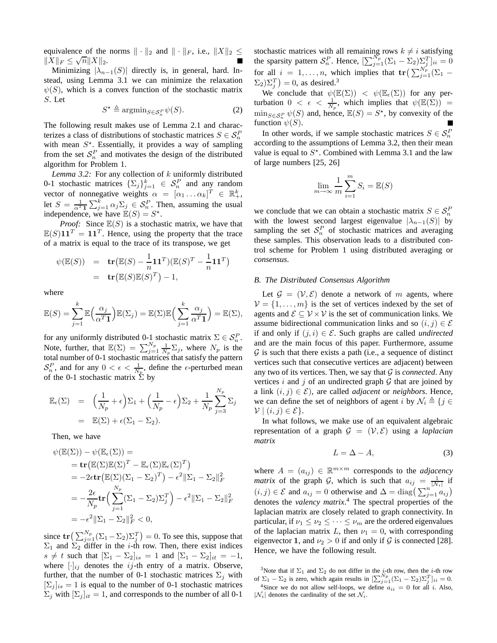equivalence of the norms  $\|\cdot\|_2$  and  $\|\cdot\|_F$ , i.e.,  $\|X\|_2 \le$  $||X||_F \leq \sqrt{n} ||X||_2.$ 

Minimizing  $|\lambda_{n-1}(S)|$  directly is, in general, hard. Instead, using Lemma 3.1 we can minimize the relaxation  $\psi(S)$ , which is a convex function of the stochastic matrix S. Let

$$
S^* \triangleq \operatorname{argmin}_{S \in \mathcal{S}_n^P} \psi(S). \tag{2}
$$

The following result makes use of Lemma 2.1 and characterizes a class of distributions of stochastic matrices  $S \in S_n^F$ with mean  $S^*$ . Essentially, it provides a way of sampling from the set  $S_n^P$  and motivates the design of the distributed algorithm for Problem 1.

*Lemma 3.2:* For any collection of k uniformly distributed 0-1 stochastic matrices  $\{\Sigma_j\}_{j=1}^k \in S_n^P$  and any random vector of nonnegative weights  $\alpha = [\alpha_1 ... \alpha_k]^T \in \mathbb{R}_+^k$ , let  $S = \frac{1}{\alpha^T 1} \sum_{j=1}^k \alpha_j \sum_j \in S_n^P$ . Then, assuming the usual independence, we have  $\mathbb{E}(S) = S^*$ .

*Proof:* Since  $E(S)$  is a stochastic matrix, we have that  $\mathbb{E}(S)$ 11<sup>T</sup> = 11<sup>T</sup>. Hence, using the property that the trace of a matrix is equal to the trace of its transpose, we get

$$
\psi(\mathbb{E}(S)) = \mathbf{tr}(\mathbb{E}(S) - \frac{1}{n}\mathbf{1}\mathbf{1}^T)(\mathbb{E}(S)^T - \frac{1}{n}\mathbf{1}\mathbf{1}^T)
$$
  
= 
$$
\mathbf{tr}(\mathbb{E}(S)\mathbb{E}(S)^T) - 1,
$$

where

$$
\mathbb{E}(S) = \sum_{j=1}^{k} \mathbb{E}\left(\frac{\alpha_j}{\alpha^T \mathbf{1}}\right) \mathbb{E}(\Sigma_j) = \mathbb{E}(\Sigma) \mathbb{E}\left(\sum_{j=1}^{k} \frac{\alpha_j}{\alpha^T \mathbf{1}}\right) = \mathbb{E}(\Sigma),
$$

for any uniformly distributed 0-1 stochastic matrix  $\Sigma \in \mathcal{S}_n^P$ . Note, further, that  $\mathbb{E}(\Sigma) = \sum_{j=1}^{N_p} \frac{1}{N_p} \Sigma_j$ , where  $N_p$  is the total number of 0-1 stochastic matrices that satisfy the pattern  $S_n^P$ , and for any  $0 < \epsilon < \frac{1}{N_p}$ , define the  $\epsilon$ -perturbed mean of the 0-1 stochastic matrix  $\Sigma$  by

$$
\mathbb{E}_{\epsilon}(\Sigma) = \left(\frac{1}{N_p} + \epsilon\right) \Sigma_1 + \left(\frac{1}{N_p} - \epsilon\right) \Sigma_2 + \frac{1}{N_p} \sum_{j=3}^{N_p} \Sigma_j
$$
  
=  $\mathbb{E}(\Sigma) + \epsilon(\Sigma_1 - \Sigma_2).$ 

Then, we have

$$
\psi(\mathbb{E}(\Sigma)) - \psi(\mathbb{E}_{\epsilon}(\Sigma)) =
$$
\n
$$
= \mathbf{tr}(\mathbb{E}(\Sigma)\mathbb{E}(\Sigma)^{T} - \mathbb{E}_{\epsilon}(\Sigma)\mathbb{E}_{\epsilon}(\Sigma)^{T})
$$
\n
$$
= -2\epsilon \mathbf{tr}(\mathbb{E}(\Sigma)(\Sigma_{1} - \Sigma_{2})^{T}) - \epsilon^{2}||\Sigma_{1} - \Sigma_{2}||_{F}^{2}
$$
\n
$$
= -\frac{2\epsilon}{N_{p}} \mathbf{tr} \Big( \sum_{j=1}^{N_{p}} (\Sigma_{1} - \Sigma_{2})\Sigma_{j}^{T} \Big) - \epsilon^{2}||\Sigma_{1} - \Sigma_{2}||_{F}^{2}
$$
\n
$$
= -\epsilon^{2}||\Sigma_{1} - \Sigma_{2}||_{F}^{2} < 0,
$$

since  $\text{tr}\left(\sum_{j=1}^{N_p} (\Sigma_1 - \Sigma_2) \Sigma_j^T\right) = 0$ . To see this, suppose that  $\Sigma_1$  and  $\Sigma_2$  differ in the *i*-th row. Then, there exist indices  $s \neq t$  such that  $[\Sigma_1 - \Sigma_2]_{is} = 1$  and  $[\Sigma_1 - \Sigma_2]_{it} = -1$ , where  $[\cdot]_{ij}$  denotes the *ij*-th entry of a matrix. Observe, further, that the number of 0-1 stochastic matrices  $\Sigma_j$  with  $[\Sigma_i]_{is} = 1$  is equal to the number of 0-1 stochastic matrices  $\sum_j$  with  $[\sum_j]_{it} = 1$ , and corresponds to the number of all 0-1

stochastic matrices with all remaining rows  $k \neq i$  satisfying the sparsity pattern  $S_n^P$ . Hence,  $[\sum_{j=1}^{N_p} (\Sigma_1 - \Sigma_2) \Sigma_j^T]_{ii} = 0$ for all  $i = 1, ..., n$ , which implies that  $\mathbf{tr} \left( \sum_{j=1}^{N_p} \left( \sum_{i=1}^n x_i \right)$  $(\Sigma_2)\Sigma_j^T$  = 0, as desired.<sup>3</sup>

We conclude that  $\psi(\mathbb{E}(\Sigma)) < \psi(\mathbb{E}_{\epsilon}(\Sigma))$  for any perturbation  $0 < \epsilon < \frac{1}{N_p}$ , which implies that  $\psi(\mathbb{E}(\Sigma)) =$  $\min_{S \in \mathcal{S}_n^P} \psi(S)$  and, hence,  $\mathbb{E}(S) = S^*$ , by convexity of the function  $\psi(S)$ .

In other words, if we sample stochastic matrices  $S \in S_n^F$ according to the assumptions of Lemma 3.2, then their mean value is equal to  $S^*$ . Combined with Lemma 3.1 and the law of large numbers [25, 26]

$$
\lim_{m \to \infty} \frac{1}{m} \sum_{i=1}^{m} S_i = \mathbb{E}(S)
$$

we conclude that we can obtain a stochastic matrix  $S \in S_n^F$ with the lowest second largest eigenvalue  $|\lambda_{n-1}(S)|$  by sampling the set  $S_n^P$  of stochastic matrices and averaging these samples. This observation leads to a distributed control scheme for Problem 1 using distributed averaging or *consensus*.

# *B. The Distributed Consensus Algorithm*

Let  $\mathcal{G} = (\mathcal{V}, \mathcal{E})$  denote a network of m agents, where  $V = \{1, \ldots, m\}$  is the set of vertices indexed by the set of agents and  $\mathcal{E} \subseteq \mathcal{V} \times \mathcal{V}$  is the set of communication links. We assume bidirectional communication links and so  $(i, j) \in \mathcal{E}$ if and only if  $(j, i) \in \mathcal{E}$ . Such graphs are called *undirected* and are the main focus of this paper. Furthermore, assume  $G$  is such that there exists a path (i.e., a sequence of distinct vertices such that consecutive vertices are adjacent) between any two of its vertices. Then, we say that  $G$  is *connected*. Any vertices i and j of an undirected graph  $G$  that are joined by a link  $(i, j) \in \mathcal{E}$ ), are called *adjacent* or *neighbors*. Hence, we can define the set of neighbors of agent i by  $\mathcal{N}_i \triangleq \{j \in$  $\mathcal{V} \mid (i, j) \in \mathcal{E}$ .

In what follows, we make use of an equivalent algebraic representation of a graph  $\mathcal{G} = (\mathcal{V}, \mathcal{E})$  using a *laplacian matrix*

$$
L = \Delta - A,\tag{3}
$$

where  $A = (a_{ij}) \in \mathbb{R}^{m \times m}$  corresponds to the *adjacency matrix* of the graph G, which is such that  $a_{ij} = \frac{1}{|N_i|}$  if  $(i, j) \in \mathcal{E}$  and  $a_{ij} = 0$  otherwise and  $\Delta = \text{diag}\left(\sum_{j=1}^{n} a_{ij}\right)$ denotes the *valency matrix*. <sup>4</sup> The spectral properties of the laplacian matrix are closely related to graph connectivity. In particular, if  $\nu_1 \leq \nu_2 \leq \cdots \leq \nu_m$  are the ordered eigenvalues of the laplacian matrix L, then  $\nu_1 = 0$ , with corresponding eigenvector 1, and  $\nu_2 > 0$  if and only if G is connected [28]. Hence, we have the following result.

<sup>&</sup>lt;sup>3</sup>Note that if  $\Sigma_1$  and  $\Sigma_2$  do not differ in the *i*-th row, then the *i*-th row of  $\Sigma_1 - \Sigma_2$  is zero, which again results in  $\left[\sum_{j=1}^{N_p} (\Sigma_1 - \Sigma_2) \Sigma_j^T \right]_{ii} = 0$ .

<sup>&</sup>lt;sup>4</sup>Since we do not allow self-loops, we define  $a_{ii} = 0$  for all i. Also,  $|\mathcal{N}_i|$  denotes the cardinality of the set  $\mathcal{N}_i$ .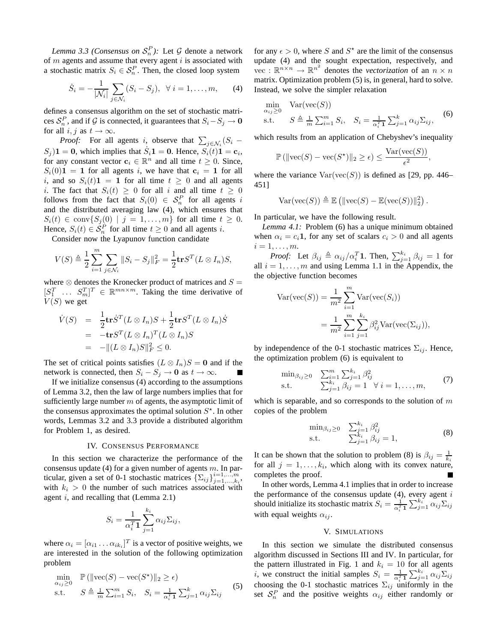*Lemma 3.3 (Consensus on*  $S_n^P$ ): Let  $\mathcal G$  denote a network of  $m$  agents and assume that every agent  $i$  is associated with a stochastic matrix  $S_i \in S_n^P$ . Then, the closed loop system

$$
\dot{S}_i = -\frac{1}{|\mathcal{N}_i|} \sum_{j \in \mathcal{N}_i} (S_i - S_j), \ \ \forall \ i = 1, ..., m,
$$
 (4)

defines a consensus algorithm on the set of stochastic matrices  $S_n^P$ , and if G is connected, it guarantees that  $S_i - S_j \to 0$ for all  $i, j$  as  $t \to \infty$ .

*Proof:* For all agents *i*, observe that  $\sum_{j \in \mathcal{N}_i} (S_i (S_j)$ **1** = **0**, which implies that  $\dot{S}_i$ **1** = **0**. Hence,  $S_i(t)$ **1** = **c**<sub>i</sub>, for any constant vector  $\mathbf{c}_i \in \mathbb{R}^n$  and all time  $t \geq 0$ . Since,  $S_i(0)$ **1** = **1** for all agents i, we have that  $c_i = 1$  for all i, and so  $S_i(t)$ **1** = **1** for all time  $t \ge 0$  and all agents i. The fact that  $S_i(t) \geq 0$  for all i and all time  $t \geq 0$ follows from the fact that  $S_i(0) \in S_n^P$  for all agents i and the distributed averaging law (4), which ensures that  $S_i(t) \in \text{conv}\{S_j(0) \mid j = 1, \ldots, m\}$  for all time  $t \geq 0$ . Hence,  $S_i(t) \in S_n^P$  for all time  $t \ge 0$  and all agents i.

Consider now the Lyapunov function candidate

$$
V(S) \triangleq \frac{1}{2} \sum_{i=1}^{m} \sum_{j \in \mathcal{N}_i} ||S_i - S_j||_F^2 = \frac{1}{2} tr S^T (L \otimes I_n) S,
$$

where  $\otimes$  denotes the Kronecker product of matrices and  $S =$  $[S_1^T \dots S_m^T]^T \in \mathbb{R}^{mn \times m}$ . Taking the time derivative of  $V(S)$  we get

$$
\dot{V}(S) = \frac{1}{2} \mathbf{tr} \dot{S}^T (L \otimes I_n) S + \frac{1}{2} \mathbf{tr} S^T (L \otimes I_n) \dot{S}
$$
  
=  $-\mathbf{tr} S^T (L \otimes I_n)^T (L \otimes I_n) S$   
=  $-||(L \otimes I_n) S||_F^2 \leq 0.$ 

The set of critical points satisfies  $(L \otimes I_n)S = 0$  and if the network is connected, then  $S_i - S_j \to 0$  as  $t \to \infty$ .

If we initialize consensus (4) according to the assumptions of Lemma 3.2, then the law of large numbers implies that for sufficiently large number  $m$  of agents, the asymptotic limit of the consensus approximates the optimal solution  $S^*$ . In other words, Lemmas 3.2 and 3.3 provide a distributed algorithm for Problem 1, as desired.

# IV. CONSENSUS PERFORMANCE

In this section we characterize the performance of the consensus update (4) for a given number of agents  $m$ . In particular, given a set of 0-1 stochastic matrices  $\{\Sigma_{ij}\}_{j=1,\dots,k_i}^{i=1,\dots,m}$ with  $k_i > 0$  the number of such matrices associated with agent  $i$ , and recalling that (Lemma 2.1)

$$
S_i = \frac{1}{\alpha_i^T \mathbf{1}} \sum_{j=1}^{k_i} \alpha_{ij} \Sigma_{ij},
$$

where  $\alpha_i = [\alpha_{i1} \dots \alpha_{ik_i}]^T$  is a vector of positive weights, we are interested in the solution of the following optimization problem

$$
\min_{\alpha_{ij}\geq 0} \mathbb{P}\left(\|\text{vec}(S) - \text{vec}(S^*)\|_2 \geq \epsilon\right)
$$
\n
$$
\text{s.t.} \quad S \triangleq \frac{1}{m} \sum_{i=1}^m S_i, \quad S_i = \frac{1}{\alpha_i^T \mathbf{1}} \sum_{j=1}^k \alpha_{ij} \Sigma_{ij} \tag{5}
$$

for any  $\epsilon > 0$ , where S and  $S^*$  are the limit of the consensus update (4) and the sought expectation, respectively, and vec :  $\mathbb{R}^{n \times n} \to \mathbb{R}^{n^2}$  denotes the *vectorization* of an  $n \times n$ matrix. Optimization problem (5) is, in general, hard to solve. Instead, we solve the simpler relaxation

$$
\min_{\alpha_{ij}\geq 0} \quad \text{Var}(\text{vec}(S))
$$
\n
$$
\text{s.t.} \quad S \triangleq \frac{1}{m} \sum_{i=1}^{m} S_i, \quad S_i = \frac{1}{\alpha_i^T \mathbf{1}} \sum_{j=1}^{k} \alpha_{ij} \Sigma_{ij}, \tag{6}
$$

which results from an application of Chebyshev's inequality

$$
\mathbb{P}\left(\|\text{vec}(S) - \text{vec}(S^*)\|_2 \ge \epsilon\right) \le \frac{\text{Var}(\text{vec}(S))}{\epsilon^2},
$$

where the variance  $Var(vec(S))$  is defined as [29, pp. 446– 451]

$$
Var(\text{vec}(S)) \triangleq \mathbb{E} (||\text{vec}(S) - \mathbb{E}(\text{vec}(S))||_2^2).
$$

In particular, we have the following result.

*Lemma 4.1:* Problem (6) has a unique minimum obtained when  $\alpha_i = c_i \mathbf{1}$ , for any set of scalars  $c_i > 0$  and all agents  $i=1,\ldots,m$ .

*Proof:* Let  $\beta_{ij} \triangleq \alpha_{ij}/\alpha_i^T$ 1. Then,  $\sum_{j=1}^{k_i} \beta_{ij} = 1$  for all  $i = 1, \ldots, m$  and using Lemma 1.1 in the Appendix, the the objective function becomes

$$
Var(vec(S)) = \frac{1}{m^2} \sum_{i=1}^{m} Var(vec(S_i))
$$
  
= 
$$
\frac{1}{m^2} \sum_{i=1}^{m} \sum_{j=1}^{k_i} \beta_{ij}^2 Var(vec(\Sigma_{ij})),
$$

by independence of the 0-1 stochastic matrices  $\Sigma_{ij}$ . Hence, the optimization problem (6) is equivalent to

$$
\min_{\beta_{ij}\geq 0} \quad \sum_{i=1}^{m} \sum_{j=1}^{k_i} \beta_{ij}^2 \n\text{s.t.} \quad \sum_{j=1}^{k_i} \beta_{ij}^2 = 1 \quad \forall \ i = 1, ..., m,
$$
\n(7)

which is separable, and so corresponds to the solution of  $m$ copies of the problem

$$
\min_{\beta_{ij} \ge 0} \sum_{\substack{j=1 \\ \sum_{j=1}^{k_i} \beta_{ij}}}^{k_i} \frac{\beta_{ij}^2}{\beta_{ij}} = 1,
$$
\n(8)

It can be shown that the solution to problem (8) is  $\beta_{ij} = \frac{1}{k_i}$ for all  $j = 1, \ldots, k_i$ , which along with its convex nature, completes the proof.

In other words, Lemma 4.1 implies that in order to increase the performance of the consensus update  $(4)$ , every agent  $i$ should initialize its stochastic matrix  $S_i = \frac{1}{\alpha_i^T \mathbf{1}} \sum_{j=1}^{k_i} \alpha_{ij} \Sigma_{ij}$ with equal weights  $\alpha_{ij}$ .

# V. SIMULATIONS

In this section we simulate the distributed consensus algorithm discussed in Sections III and IV. In particular, for the pattern illustrated in Fig. 1 and  $k_i = 10$  for all agents i, we construct the initial samples  $S_i = \frac{1}{\alpha_i^T \mathbf{1}} \sum_{j=1}^{k_i} \alpha_{ij} \Sigma_{ij}$ choosing the 0-1 stochastic matrices  $\Sigma_{ij}$  uniformly in the set  $S_n^P$  and the positive weights  $\alpha_{ij}$  either randomly or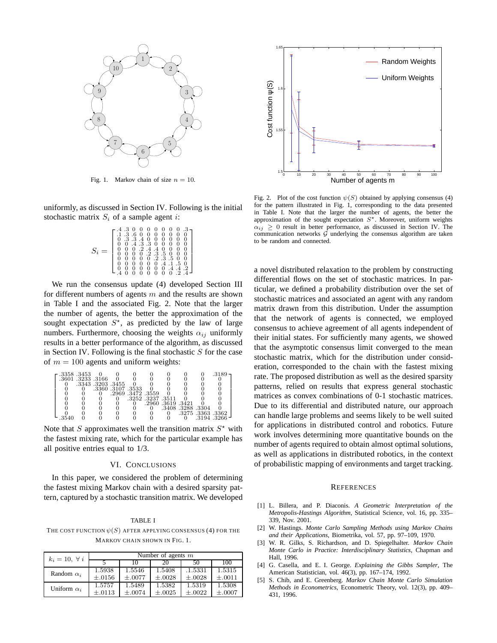

Fig. 1. Markov chain of size  $n = 10$ .

uniformly, as discussed in Section IV. Following is the initial stochastic matrix  $S_i$  of a sample agent *i*:

$$
S_i = \left[\begin{smallmatrix} .4 & .3 & 0 & 0 & 0 & 0 & 0 & 0 & 0 & 0 \\ .1 & .3 & .6 & 0 & 0 & 0 & 0 & 0 & 0 & 0 \\ 0 & .3 & .3 & .4 & 0 & 0 & 0 & 0 & 0 & 0 \\ 0 & 0 & .4 & .3 & .3 & 0 & 0 & 0 & 0 & 0 \\ 0 & 0 & 0 & .2 & .4 & .4 & 0 & 0 & 0 & 0 \\ 0 & 0 & 0 & 0 & .2 & .3 & .5 & 0 & 0 \\ 0 & 0 & 0 & 0 & 0 & .4 & .1 & .5 & 0 \\ 0 & 0 & 0 & 0 & 0 & .4 & .4 & .2 & .2 \\ 0 & 0 & 0 & 0 & 0 & 0 & .4 & .4 & .2 & .4 \end{smallmatrix}\right]
$$

We run the consensus update (4) developed Section III for different numbers of agents  $m$  and the results are shown in Table I and the associated Fig. 2. Note that the larger the number of agents, the better the approximation of the sought expectation  $S^*$ , as predicted by the law of large numbers. Furthermore, choosing the weights  $\alpha_{ij}$  uniformly results in a better performance of the algorithm, as discussed in Section IV. Following is the final stochastic  $S$  for the case of  $m = 100$  agents and uniform weights:

|       | .3358.3453        |                   |                 |                   |                   |                 |                 |               |  |
|-------|-------------------|-------------------|-----------------|-------------------|-------------------|-----------------|-----------------|---------------|--|
|       | .3601 .3233 .3166 |                   |                 |                   |                   |                 |                 |               |  |
|       |                   | .3343 .3203 .3455 |                 |                   |                   |                 |                 |               |  |
|       |                   | .3360 .3107 .3533 |                 |                   |                   |                 |                 |               |  |
|       |                   |                   | .2969.3472.3559 |                   |                   |                 |                 |               |  |
|       |                   |                   |                 | .3252 .3237 .3511 |                   |                 |                 |               |  |
|       |                   |                   |                 |                   | .2960 .3619 .3421 |                 |                 |               |  |
|       |                   |                   |                 |                   |                   | .3408.3288.3304 |                 |               |  |
|       |                   |                   |                 |                   |                   |                 | .3275.3363.3362 |               |  |
| .3540 |                   |                   |                 |                   |                   |                 |                 | -3194 -3266 - |  |

Note that S approximates well the transition matrix  $S^*$  with the fastest mixing rate, which for the particular example has all positive entries equal to 1/3.

# VI. CONCLUSIONS

In this paper, we considered the problem of determining the fastest mixing Markov chain with a desired sparsity pattern, captured by a stochastic transition matrix. We developed

# TABLE I

THE COST FUNCTION  $\psi(S)$  AFTER APPLYING CONSENSUS (4) FOR THE MARKOV CHAIN SHOWN IN FIG. 1.

| $k_i = 10, \forall i$ | Number of agents $m$ |             |             |             |             |  |  |  |  |
|-----------------------|----------------------|-------------|-------------|-------------|-------------|--|--|--|--|
|                       |                      | 10          | 20          | 50          | 100         |  |  |  |  |
| Random $\alpha_i$     | 1.5938               | 1.5546      | 1.5408      | .1.5331     | 1.5315      |  |  |  |  |
|                       | $\pm .0156$          | $+.0077$    | $\pm .0028$ | $\pm .0028$ | $\pm .0011$ |  |  |  |  |
| Uniform $\alpha_i$    | 1.5757               | 1.5489      | 1.5382      | 1.5319      | 1.5308      |  |  |  |  |
|                       | $+.0113$             | $\pm .0074$ | $\pm .0025$ | $\pm .0022$ | $\pm .0007$ |  |  |  |  |



Fig. 2. Plot of the cost function  $\psi(S)$  obtained by applying consensus (4) for the pattern illustrated in Fig. 1, corresponding to the data presented in Table I. Note that the larger the number of agents, the better the approximation of the sought expectation  $S^*$ . Moreover, uniform weights  $\alpha_{ij} \geq 0$  result in better performance, as discussed in Section IV. The communication networks  $G$  underlying the consensus algorithm are taken to be random and connected.

a novel distributed relaxation to the problem by constructing differential flows on the set of stochastic matrices. In particular, we defined a probability distribution over the set of stochastic matrices and associated an agent with any random matrix drawn from this distribution. Under the assumption that the network of agents is connected, we employed consensus to achieve agreement of all agents independent of their initial states. For sufficiently many agents, we showed that the asymptotic consensus limit converged to the mean stochastic matrix, which for the distribution under consideration, corresponded to the chain with the fastest mixing rate. The proposed distribution as well as the desired sparsity patterns, relied on results that express general stochastic matrices as convex combinations of 0-1 stochastic matrices. Due to its differential and distributed nature, our approach can handle large problems and seems likely to be well suited for applications in distributed control and robotics. Future work involves determining more quantitative bounds on the number of agents required to obtain almost optimal solutions, as well as applications in distributed robotics, in the context of probabilistic mapping of environments and target tracking.

# **REFERENCES**

- [1] L. Billera, and P. Diaconis. *A Geometric Interpretation of the Metropolis-Hastings Algorithm*, Statistical Science, vol. 16, pp. 335– 339, Nov. 2001.
- [2] W. Hastings. *Monte Carlo Sampling Methods using Markov Chains and their Applications*, Biometrika, vol. 57, pp. 97–109, 1970.
- [3] W. R. Gilks, S. Richardson, and D. Spiegelhalter. *Markov Chain Monte Carlo in Practice: Interdisciplinary Statistics*, Chapman and Hall, 1996.
- [4] G. Casella, and E. I. George. *Explaining the Gibbs Sampler*, The American Statistician, vol. 46(3), pp. 167–174, 1992.
- [5] S. Chib, and E. Greenberg. *Markov Chain Monte Carlo Simulation Methods in Econometrics*, Econometric Theory, vol. 12(3), pp. 409– 431, 1996.